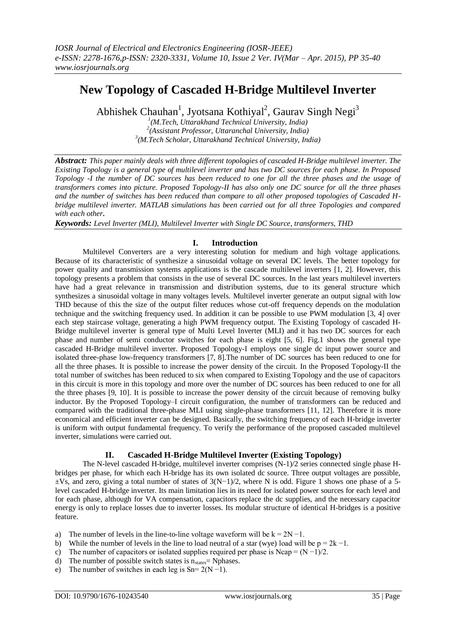# **New Topology of Cascaded H-Bridge Multilevel Inverter**

Abhishek Chauhan<sup>1</sup>, Jyotsana Kothiyal<sup>2</sup>, Gaurav Singh Negi<sup>3</sup>

*1 (M.Tech, Uttarakhand Technical University, India) 2 (Assistant Professor, Uttaranchal University, India) 3 (M.Tech Scholar, Uttarakhand Technical University, India)*

*Abstract: This paper mainly deals with three different topologies of cascaded H-Bridge multilevel inverter. The Existing Topology is a general type of multilevel inverter and has two DC sources for each phase. In Proposed Topology -I the number of DC sources has been reduced to one for all the three phases and the usage of transformers comes into picture. Proposed Topology-II has also only one DC source for all the three phases and the number of switches has been reduced than compare to all other proposed topologies of Cascaded Hbridge multilevel inverter. MATLAB simulations has been carried out for all three Topologies and compared with each other***.**

*Keywords: Level Inverter (MLI), Multilevel Inverter with Single DC Source, transformers, THD*

## **I. Introduction**

Multilevel Converters are a very interesting solution for medium and high voltage applications. Because of its characteristic of synthesize a sinusoidal voltage on several DC levels. The better topology for power quality and transmission systems applications is the cascade multilevel inverters [1, 2]. However, this topology presents a problem that consists in the use of several DC sources. In the last years multilevel inverters have had a great relevance in transmission and distribution systems, due to its general structure which synthesizes a sinusoidal voltage in many voltages levels. Multilevel inverter generate an output signal with low THD because of this the size of the output filter reduces whose cut-off frequency depends on the modulation technique and the switching frequency used. In addition it can be possible to use PWM modulation [3, 4] over each step staircase voltage, generating a high PWM frequency output. The Existing Topology of cascaded H-Bridge multilevel inverter is general type of Multi Level Inverter (MLI) and it has two DC sources for each phase and number of semi conductor switches for each phase is eight [5, 6]. Fig.1 shows the general type cascaded H-Bridge multilevel inverter. Proposed Topology-I employs one single dc input power source and isolated three-phase low-frequency transformers [7, 8].The number of DC sources has been reduced to one for all the three phases. It is possible to increase the power density of the circuit. In the Proposed Topology-II the total number of switches has been reduced to six when compared to Existing Topology and the use of capacitors in this circuit is more in this topology and more over the number of DC sources has been reduced to one for all the three phases [9, 10]. It is possible to increase the power density of the circuit because of removing bulky inductor. By the Proposed Topology–I circuit configuration, the number of transformers can be reduced and compared with the traditional three-phase MLI using single-phase transformers [11, 12]. Therefore it is more economical and efficient inverter can be designed. Basically, the switching frequency of each H-bridge inverter is uniform with output fundamental frequency. To verify the performance of the proposed cascaded multilevel inverter, simulations were carried out.

#### **II. Cascaded H-Bridge Multilevel Inverter (Existing Topology)**

The N-level cascaded H-bridge, multilevel inverter comprises (N-1)/2 series connected single phase Hbridges per phase, for which each H-bridge has its own isolated dc source. Three output voltages are possible,  $\pm$ Vs, and zero, giving a total number of states of 3(N−1)/2, where N is odd. Figure 1 shows one phase of a 5level cascaded H-bridge inverter. Its main limitation lies in its need for isolated power sources for each level and for each phase, although for VA compensation, capacitors replace the dc supplies, and the necessary capacitor energy is only to replace losses due to inverter losses. Its modular structure of identical H-bridges is a positive feature.

- a) The number of levels in the line-to-line voltage waveform will be  $k = 2N 1$ .
- b) While the number of levels in the line to load neutral of a star (wye) load will be  $p = 2k 1$ .
- c) The number of capacitors or isolated supplies required per phase is Ncap =  $(N-1)/2$ .
- d) The number of possible switch states is  $n_{\text{states}}$ = Nphases.
- e) The number of switches in each leg is  $Sn = 2(N 1)$ .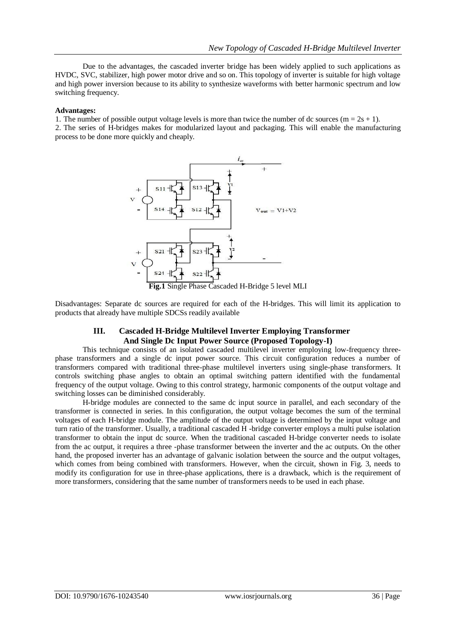Due to the advantages, the cascaded inverter bridge has been widely applied to such applications as HVDC, SVC, stabilizer, high power motor drive and so on. This topology of inverter is suitable for high voltage and high power inversion because to its ability to synthesize waveforms with better harmonic spectrum and low switching frequency.

#### **Advantages:**

1. The number of possible output voltage levels is more than twice the number of dc sources  $(m = 2s + 1)$ .

2. The series of H-bridges makes for modularized layout and packaging. This will enable the manufacturing process to be done more quickly and cheaply.



Disadvantages: Separate dc sources are required for each of the H-bridges. This will limit its application to products that already have multiple SDCSs readily available

## **III. Cascaded H-Bridge Multilevel Inverter Employing Transformer And Single Dc Input Power Source (Proposed Topology-I)**

This technique consists of an isolated cascaded multilevel inverter employing low-frequency threephase transformers and a single dc input power source. This circuit configuration reduces a number of transformers compared with traditional three-phase multilevel inverters using single-phase transformers. It controls switching phase angles to obtain an optimal switching pattern identified with the fundamental frequency of the output voltage. Owing to this control strategy, harmonic components of the output voltage and switching losses can be diminished considerably.

H-bridge modules are connected to the same dc input source in parallel, and each secondary of the transformer is connected in series. In this configuration, the output voltage becomes the sum of the terminal voltages of each H-bridge module. The amplitude of the output voltage is determined by the input voltage and turn ratio of the transformer. Usually, a traditional cascaded H -bridge converter employs a multi pulse isolation transformer to obtain the input dc source. When the traditional cascaded H-bridge converter needs to isolate from the ac output, it requires a three -phase transformer between the inverter and the ac outputs. On the other hand, the proposed inverter has an advantage of galvanic isolation between the source and the output voltages, which comes from being combined with transformers. However, when the circuit, shown in Fig. 3, needs to modify its configuration for use in three-phase applications, there is a drawback, which is the requirement of more transformers, considering that the same number of transformers needs to be used in each phase.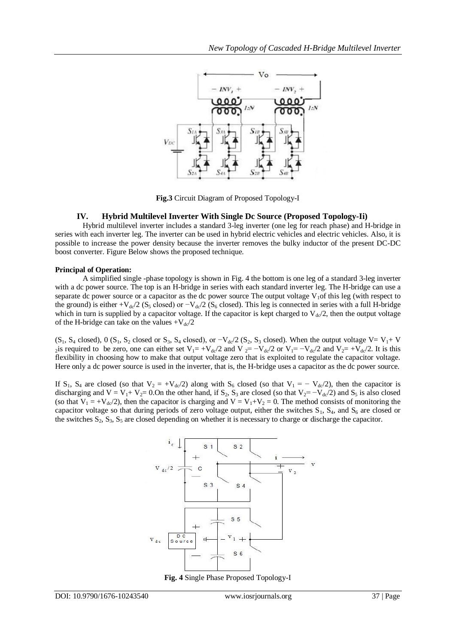

**Fig.3** Circuit Diagram of Proposed Topology-I

#### **IV. Hybrid Multilevel Inverter With Single Dc Source (Proposed Topology-Ii)**

Hybrid multilevel inverter includes a standard 3-leg inverter (one leg for reach phase) and H-bridge in series with each inverter leg. The inverter can be used in hybrid electric vehicles and electric vehicles. Also, it is possible to increase the power density because the inverter removes the bulky inductor of the present DC-DC boost converter. Figure Below shows the proposed technique.

#### **Principal of Operation:**

A simplified single -phase topology is shown in Fig. 4 the bottom is one leg of a standard 3-leg inverter with a dc power source. The top is an H-bridge in series with each standard inverter leg. The H-bridge can use a separate dc power source or a capacitor as the dc power source The output voltage  $V<sub>1</sub>$ of this leg (with respect to the ground) is either +V<sub>dc</sub>/2 (S<sub>5</sub> closed) or  $-V_{dc}$ /2 (S<sub>6</sub> closed). This leg is connected in series with a full H-bridge which in turn is supplied by a capacitor voltage. If the capacitor is kept charged to  $V_{d}Q/2$ , then the output voltage of the H-bridge can take on the values  $+V_{\text{dc}}/2$ 

 $(S_1, S_4 \text{ closed})$ , 0  $(S_1, S_2 \text{ closed or } S_3$ ,  $S_4 \text{ closed})$ , or  $-V_{d}$   $/2$   $(S_2, S_3 \text{ closed})$ . When the output voltage V= V<sub>1</sub>+ V 2is required to be zero, one can either set  $V_1 = +V_{dc}/2$  and  $V_2 = -V_{dc}/2$  or  $V_1 = -V_{dc}/2$  and  $V_2 = +V_{dc}/2$ . It is this flexibility in choosing how to make that output voltage zero that is exploited to regulate the capacitor voltage. Here only a dc power source is used in the inverter, that is, the H-bridge uses a capacitor as the dc power source.

If S<sub>1</sub>, S<sub>4</sub> are closed (so that  $V_2 = +V_{dc}/2$ ) along with S<sub>6</sub> closed (so that  $V_1 = -V_{dc}/2$ ), then the capacitor is discharging and  $V = V_1 + V_2 = 0$ . On the other hand, if S<sub>2</sub>, S<sub>3</sub> are closed (so that  $V_2 = -V_{dc}/2$ ) and S<sub>5</sub> is also closed (so that  $V_1 = +V_{dc}/2$ ), then the capacitor is charging and  $V = V_1 + V_2 = 0$ . The method consists of monitoring the capacitor voltage so that during periods of zero voltage output, either the switches  $S_1$ ,  $S_4$ , and  $S_6$  are closed or the switches  $S_2$ ,  $S_3$ ,  $S_5$  are closed depending on whether it is necessary to charge or discharge the capacitor.



**Fig. 4** Single Phase Proposed Topology-I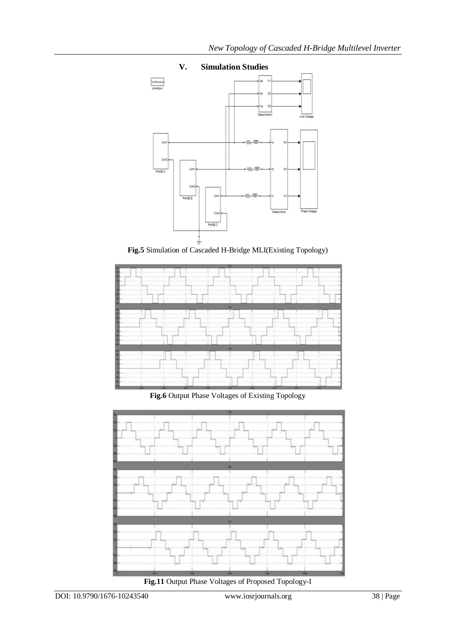

# **V. Simulation Studies**





**Fig.6** Output Phase Voltages of Existing Topology



**Fig.11** Output Phase Voltages of Proposed Topology-I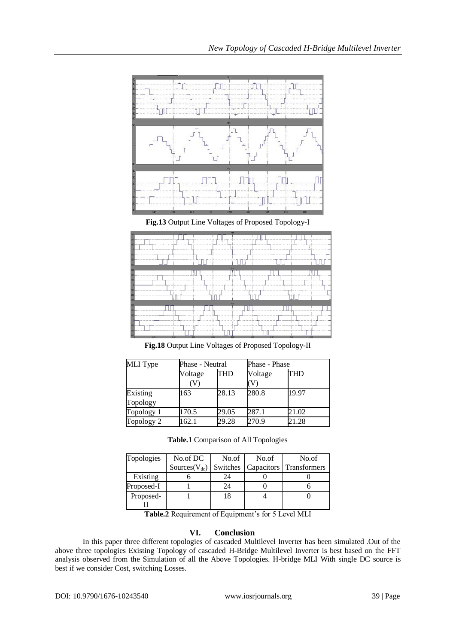

**Fig.13** Output Line Voltages of Proposed Topology-I



**Fig.18** Output Line Voltages of Proposed Topology-II

| <b>MLI</b> Type | Phase - Neutral |       | Phase - Phase |       |
|-----------------|-----------------|-------|---------------|-------|
|                 | Voltage         | THD   | Voltage       | THD   |
|                 |                 |       |               |       |
| Topology        |                 |       |               |       |
| Topology 1      | 170.5           | 29.05 | 287.1         | 21.02 |
| Topology 2      | 162.1           | 29.28 | 270.9         | 21.28 |

| Table.1 Comparison of All Topologies |  |
|--------------------------------------|--|
|--------------------------------------|--|

| Topologies | No.of DC            | No.of | No.of | No.of                            |
|------------|---------------------|-------|-------|----------------------------------|
|            | Sources( $V_{dc}$ ) |       |       | Switches Capacitors Transformers |
| Existing   |                     | 24    |       |                                  |
| Proposed-I |                     | 24    |       |                                  |
| Proposed-  |                     |       |       |                                  |
|            |                     |       |       |                                  |

**Table.2** Requirement of Equipment's for 5 Level MLI

# **VI. Conclusion**

In this paper three different topologies of cascaded Multilevel Inverter has been simulated .Out of the above three topologies Existing Topology of cascaded H-Bridge Multilevel Inverter is best based on the FFT analysis observed from the Simulation of all the Above Topologies. H-bridge MLI With single DC source is best if we consider Cost, switching Losses.